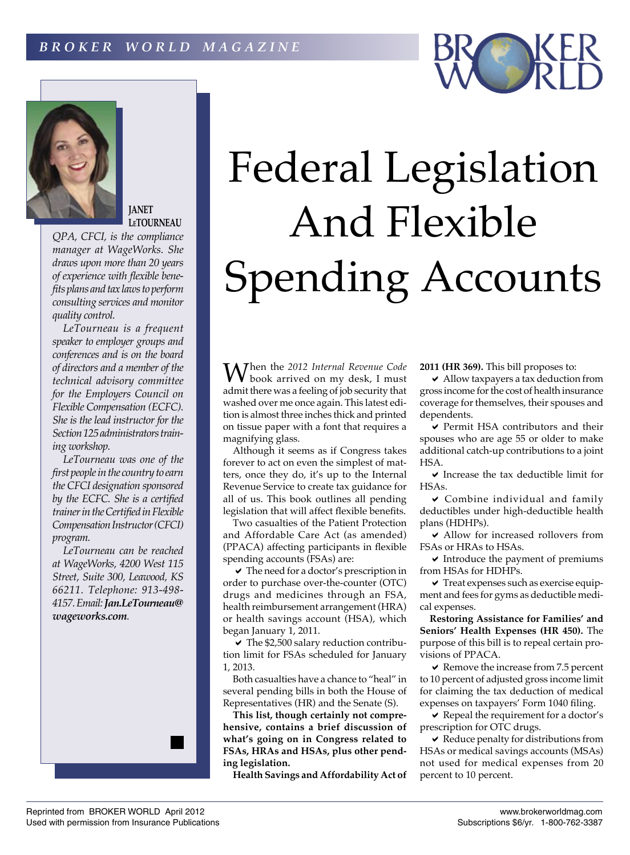



**JANET LeTOURNEAU**

*QPA, CFCI, is the compliance manager at WageWorks. She draws upon more than 20 years of experience with flexible benefits plans and tax laws to perform consulting services and monitor quality control.*

*LeTourneau is a frequent speaker to employer groups and conferences and is on the board of directors and a member of the technical advisory committee for the Employers Council on Flexible Compensation (ECFC). She is the lead instructor for the Section 125 administrators training workshop.*

*LeTourneau was one of the first people in the country to earn the CFCI designation sponsored by the ECFC. She is a certified trainer in the Certified in Flexible Compensation Instructor (CFCI) program.*

*LeTourneau can be reached at WageWorks, 4200 West 115 Street, Suite 300, Leawood, KS 66211. Telephone: 913-498- 4157. Email: Jan.LeTourneau@ wageworks.com.*



## Federal Legislation And Flexible Spending Accounts

When the *2012 Internal Revenue Code*  book arrived on my desk, I must admit there was a feeling of job security that washed over me once again. This latest edition is almost three inches thick and printed on tissue paper with a font that requires a magnifying glass.

Although it seems as if Congress takes forever to act on even the simplest of matters, once they do, it's up to the Internal Revenue Service to create tax guidance for all of us. This book outlines all pending legislation that will affect flexible benefits.

Two casualties of the Patient Protection and Affordable Care Act (as amended) (PPACA) affecting participants in flexible spending accounts (FSAs) are:

a The need for a doctor's prescription in order to purchase over-the-counter (OTC) drugs and medicines through an FSA, health reimbursement arrangement (HRA) or health savings account (HSA), which began January 1, 2011.

a The \$2,500 salary reduction contribution limit for FSAs scheduled for January 1, 2013.

Both casualties have a chance to "heal" in several pending bills in both the House of Representatives (HR) and the Senate (S).

**This list, though certainly not comprehensive, contains a brief discussion of what's going on in Congress related to FSAs, HRAs and HSAs, plus other pending legislation.**

**Health Savings and Affordability Act of** 

**2011 (HR 369).** This bill proposes to:

a Allow taxpayers a tax deduction from gross income for the cost of health insurance coverage for themselves, their spouses and dependents.

a Permit HSA contributors and their spouses who are age 55 or older to make additional catch-up contributions to a joint HSA.

 $\triangleright$  Increase the tax deductible limit for HSAs.

a  Combine individual and family deductibles under high-deductible health plans (HDHPs).

a Allow for increased rollovers from FSAs or HRAs to HSAs.

 $\triangleright$  Introduce the payment of premiums from HSAs for HDHPs.

 $\checkmark$  Treat expenses such as exercise equipment and fees for gyms as deductible medical expenses.

**Restoring Assistance for Families' and Seniors' Health Expenses (HR 450).** The purpose of this bill is to repeal certain provisions of PPACA.

 $\blacktriangleright$  Remove the increase from 7.5 percent to 10 percent of adjusted gross income limit for claiming the tax deduction of medical expenses on taxpayers' Form 1040 filing.

 $\vee$  Repeal the requirement for a doctor's prescription for OTC drugs.

a Reduce penalty for distributions from HSAs or medical savings accounts (MSAs) not used for medical expenses from 20 percent to 10 percent.